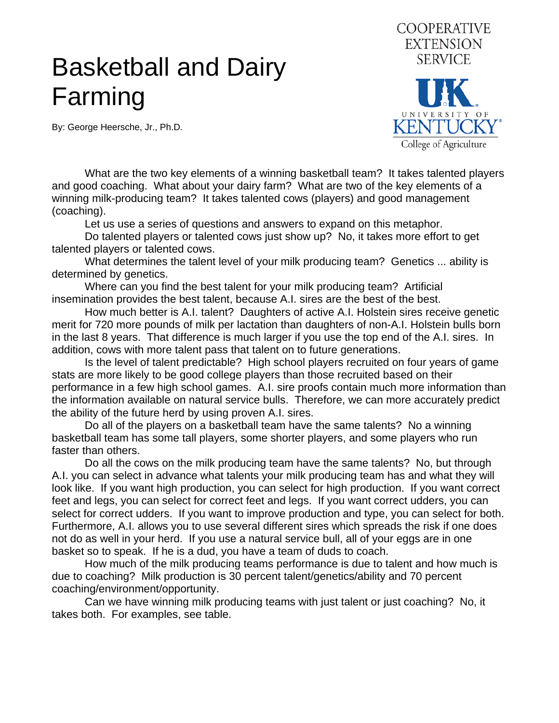## Basketball and Dairy Farming

By: George Heersche, Jr., Ph.D.



What are the two key elements of a winning basketball team? It takes talented players and good coaching. What about your dairy farm? What are two of the key elements of a winning milk-producing team? It takes talented cows (players) and good management (coaching).

Let us use a series of questions and answers to expand on this metaphor.

Do talented players or talented cows just show up? No, it takes more effort to get talented players or talented cows.

What determines the talent level of your milk producing team? Genetics ... ability is determined by genetics.

Where can you find the best talent for your milk producing team? Artificial insemination provides the best talent, because A.I. sires are the best of the best.

How much better is A.I. talent? Daughters of active A.I. Holstein sires receive genetic merit for 720 more pounds of milk per lactation than daughters of non-A.I. Holstein bulls born in the last 8 years. That difference is much larger if you use the top end of the A.I. sires. In addition, cows with more talent pass that talent on to future generations.

 Is the level of talent predictable? High school players recruited on four years of game stats are more likely to be good college players than those recruited based on their performance in a few high school games. A.I. sire proofs contain much more information than the information available on natural service bulls. Therefore, we can more accurately predict the ability of the future herd by using proven A.I. sires.

Do all of the players on a basketball team have the same talents? No a winning basketball team has some tall players, some shorter players, and some players who run faster than others.

Do all the cows on the milk producing team have the same talents? No, but through A.I. you can select in advance what talents your milk producing team has and what they will look like. If you want high production, you can select for high production. If you want correct feet and legs, you can select for correct feet and legs. If you want correct udders, you can select for correct udders. If you want to improve production and type, you can select for both. Furthermore, A.I. allows you to use several different sires which spreads the risk if one does not do as well in your herd. If you use a natural service bull, all of your eggs are in one basket so to speak. If he is a dud, you have a team of duds to coach.

How much of the milk producing teams performance is due to talent and how much is due to coaching? Milk production is 30 percent talent/genetics/ability and 70 percent coaching/environment/opportunity.

Can we have winning milk producing teams with just talent or just coaching? No, it takes both. For examples, see table.